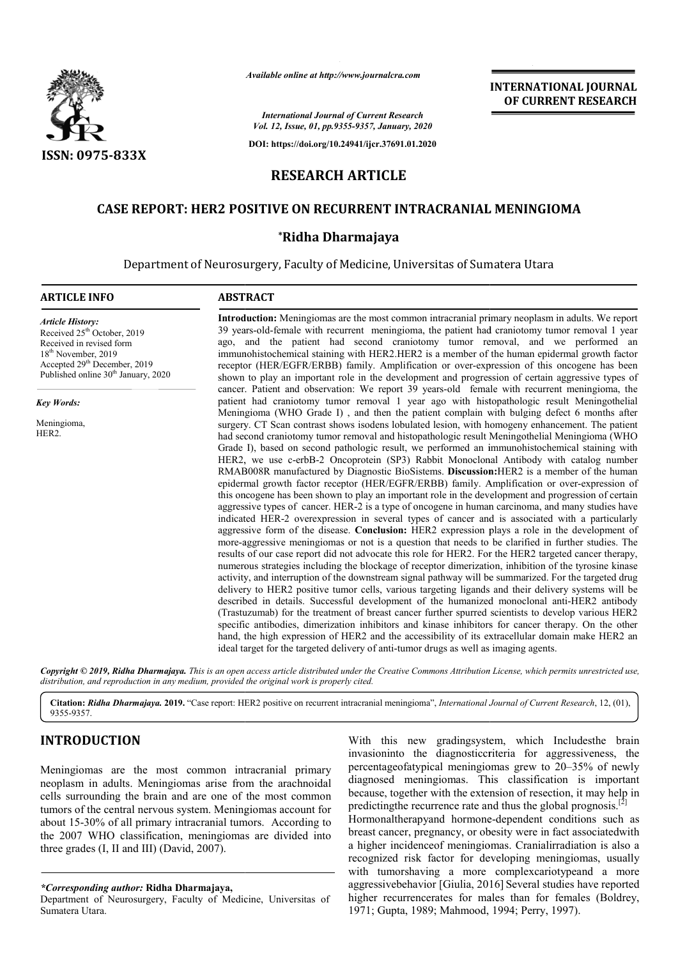

*Available online at http://www.journalcra.com*

*International Journal of Current Research Vol. 12, Issue, 01, pp.9355-9357, January, 2020*

**DOI: https://doi.org/10.24941/ijcr.37691.01.2020**

# **RESEARCH ARTICLE**

# **CASE REPORT: HER2 POSITIVE ON RECURRENT INTRACRANIAL MENINGIOMA CASE REPORT: RECURRENT INTRACRANIAL**

### **\*Ridha Dharmajaya**

Department of Neurosurgery, Faculty of Medicine, Universitas of Sumatera Utara

#### **ARTICLE INFO ABSTRACT**

Received 25<sup>th</sup> October, 2019 Received in revised form 18<sup>th</sup> November, 2019 Accepted 29<sup>th</sup> December, 2019 Published online 30<sup>th</sup> January, 2020

*Article History:*

*Key Words:* Meningioma, HER2.

**Introduction:**  Meningiomas are the most common intracranial primary neoplasm in adults. We report 39 years-old-female with recurrent meningioma, the patient had craniotomy tumor removal 1 year ago, and the patient had second craniotomy tumor removal, and we performed an immunohistochemical staining with HER2.HER2 is a member of the human epidermal growth factor receptor (HER/EGFR/ERBB) family. Amplification or over-expression of this oncogene has been shown to play an important role in the development and progression of certain aggressive types of cancer. . Patient and observation: We report 39 years-old female with recurrent meningioma, the patient had craniotomy tumor removal 1 year ago with histopathologic result Meningothelial Meningioma (WHO Grade I) , and then the patient complain with bulging defect 6 months after surgery. CT Scan contrast shows isodens lobulated lesion, with homogeny enhancement. The patient had second craniotomy tumor removal and histopathologic result Meningothelial Meningioma (WHO Grade I), based on second pathologic result, we performed an immunohistochemical staining with HER2, we use c c-erbB-2 Oncoprotein (SP3) Rabbit Monoclonal Antibody with cat RMAB008R manufactured by Diagnostic BioSistems. **Discussion:** HER2 is a member of the human epidermal growth factor receptor (HER/EGFR/ERBB) family. Amplification or over-expression of this oncogene has been shown to play an important role in the development and progression of certain aggressive types of cancer. HER-2 is a type of oncogene in human carcinoma, and many studies have indicated HER-2 overexpression in several types of cancer and is associated with a particularly aggressive form of the disease. **Conclusion:** HER2 expression plays a role in the development of more-aggressive meningiomas or not is a question that needs to be clarified in further studies. T results of our case report did not advocate this role for HER2. For the HER2 targeted cancer therapy, numerous strategies including the blockage of receptor dimerization, inhibition of the tyrosine kinase activity, and interruption of the downstream signal pathway will be summarized. For the targeted drug delivery to HER2 positive tumor cells, various targeting ligands and their delivery systems will be described in details. Successful development of the humanized monoclonal anti-HER2 antibody (Trastuzum (Trastuzumab) for the treatment of breast cancer further spurred scientists to develop various HER2 specific antibodies, dimerization inhibitors and kinase inhibitors for cancer therapy. On the other (Trastuzumab) for the treatment of breast cancer further spurred scientists to develop various HER2 specific antibodies, dimerization inhibitors and kinase inhibitors for cancer therapy. On the other hand, the high express ideal target for the targeted delivery of anti-tumor drugs as well as imaging agents. aggressive meningiomas or not is a question that needs to be clarified in further studies. The<br>s of our case report did not advocate this role for HER2. For the HER2 targeted cancer therapy,<br>rous strategies including the b **Introduction:** Meningiomas are the most common intracranial primary neoplasm in adults. We report 39 years-old-female with recurrent meningioma, the patient had craniotomy tumor removal 1 year ago, and the patient had sec shown to play an important role in the development and progression of certain aggressive types of cancer. Patient and observation: We report 39 years-old female with recurrent meningioma, the patient had craniotomy tumor r play an important role in the development and progression of certain 2 is a type of oncogene in human carcinoma, and many studies have in several types of cancer and is associated with a particularly Conclusion: HER2 expre results of our case report did not advocate this role for HER2. For the HER2 targeted cancer therapy, numerous strategies including the blockage of receptor dimerization, inhibition of the tyrosine kinase activity, and int

Copyright © 2019, Ridha Dharmajaya. This is an open access article distributed under the Creative Commons Attribution License, which permits unrestricted use, *distribution, and reproduction in any medium, provided the original work is properly cited.*

Citation: Ridha Dharmajaya. 2019. "Case report: HER2 positive on recurrent intracranial meningioma", International Journal of Current Research, 12, (01), 9355-9357.

# **INTRODUCTION**

Meningiomas are the most common intracranial primary neoplasm in adults. Meningiomas arise from the arachnoidal cells surrounding the brain and are one of the most common tumors of the central nervous system. Meningiomas account for about 15-30% of all primary intracranial tumors. According to the 2007 WHO classification, meningiomas are divided into three grades (I, II and III) (David, 2007).

*\*Corresponding author:* **Ridha Dharmajaya,**

Department of Neurosurgery, Faculty of Medicine, Universitas of Sumatera Utara.

With this new gradingsystem, which Includesthe brain invasioninto the diagnosticcriteria for aggressiveness, the percentageofatypical meningiomas grew to 20 diagnosed meningiomas. This classification is important because, together with the extension of resection, it may help in predictingthe recurrence rate and thus the global prognosis.<sup>[2</sup>] Hormonaltherapyand hormone Hormonaltherapyand hormone-dependent conditions such as breast cancer, pregnancy, or obesity were in fact associatedwith a higher incidenceof meningiomas. Cranialirradiation is also a recognized risk factor for developing meningiomas, usually with tumorshaving a more complexcariotypeand a more aggressivebehavior [Giulia, 2016] Several studies have reported higher recurrencerates for males than for females (Boldrey, 1971; Gupta, 1989; Mahmood, 1994; Perry, 1997). With this new gradingsystem, which Includes the brain invasioninto the diagnostic criteria for aggressiveness, the percentage of a meningiomas grew to 20–35% of newly This classification is important tension of resection, it may help in and thus the global prognosis.<sup>[2]</sup> breast cancer, pregnancy, or obesity were in fact associated with<br>a higher incidence of meningiomas. Cranialization is also a<br>recognized risk factor for developing meningiomas, usually<br>with tumorshaving a more complex cari

### **INTERNATIONAL JOURNAL OF CURRENT RESEARCH**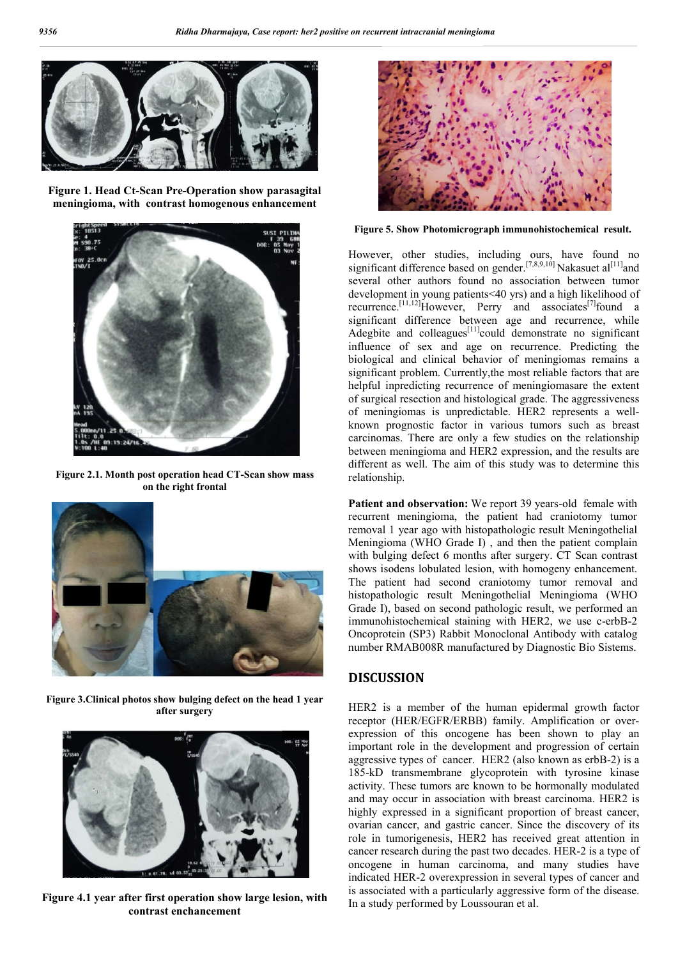

**Figure 1. Head Ct-Scan Pre-Operation show parasagital meningioma, with contrast homogenous enhancement**



**Figure 2.1. Month post operation head CT-Scan show mass on the right frontal**



**Figure 3.Clinical photos show bulging defect on the head 1 year after surgery**



**Figure 4.1 year after first operation show large lesion, with contrast enchancement**



**Figure 5. Show Photomicrograph immunohistochemical result.**

However, other studies, including ours, have found no significant difference based on gender.<sup>[7,8,9,10]</sup> Nakasuet al<sup>[11]</sup> and several other authors found no association between tumor development in young patients<40 yrs) and a high likelihood of recurrence.<sup>[11,12]</sup>However, Perry and associates<sup>[7]</sup>found a significant difference between age and recurrence, while Adegbite and colleagues $^{[11]}$ could demonstrate no significant influence of sex and age on recurrence. Predicting the biological and clinical behavior of meningiomas remains a significant problem. Currently,the most reliable factors that are helpful inpredicting recurrence of meningiomasare the extent of surgical resection and histological grade. The aggressiveness of meningiomas is unpredictable. HER2 represents a wellknown prognostic factor in various tumors such as breast carcinomas. There are only a few studies on the relationship between meningioma and HER2 expression, and the results are different as well. The aim of this study was to determine this relationship.

Patient and observation: We report 39 years-old female with recurrent meningioma, the patient had craniotomy tumor removal 1 year ago with histopathologic result Meningothelial Meningioma (WHO Grade I) , and then the patient complain with bulging defect 6 months after surgery. CT Scan contrast shows isodens lobulated lesion, with homogeny enhancement. The patient had second craniotomy tumor removal and histopathologic result Meningothelial Meningioma (WHO Grade I), based on second pathologic result, we performed an immunohistochemical staining with HER2, we use c-erbB-2 Oncoprotein (SP3) Rabbit Monoclonal Antibody with catalog number RMAB008R manufactured by Diagnostic Bio Sistems.

## **DISCUSSION**

HER2 is a member of the human epidermal growth factor receptor (HER/EGFR/ERBB) family. Amplification or overexpression of this oncogene has been shown to play an important role in the development and progression of certain aggressive types of cancer. HER2 (also known as erbB-2) is a 185-kD transmembrane glycoprotein with tyrosine kinase activity. These tumors are known to be hormonally modulated and may occur in association with breast carcinoma. HER2 is highly expressed in a significant proportion of breast cancer, ovarian cancer, and gastric cancer. Since the discovery of its role in tumorigenesis, HER2 has received great attention in cancer research during the past two decades. HER-2 is a type of oncogene in human carcinoma, and many studies have indicated HER-2 overexpression in several types of cancer and is associated with a particularly aggressive form of the disease. In a study performed by Loussouran et al.